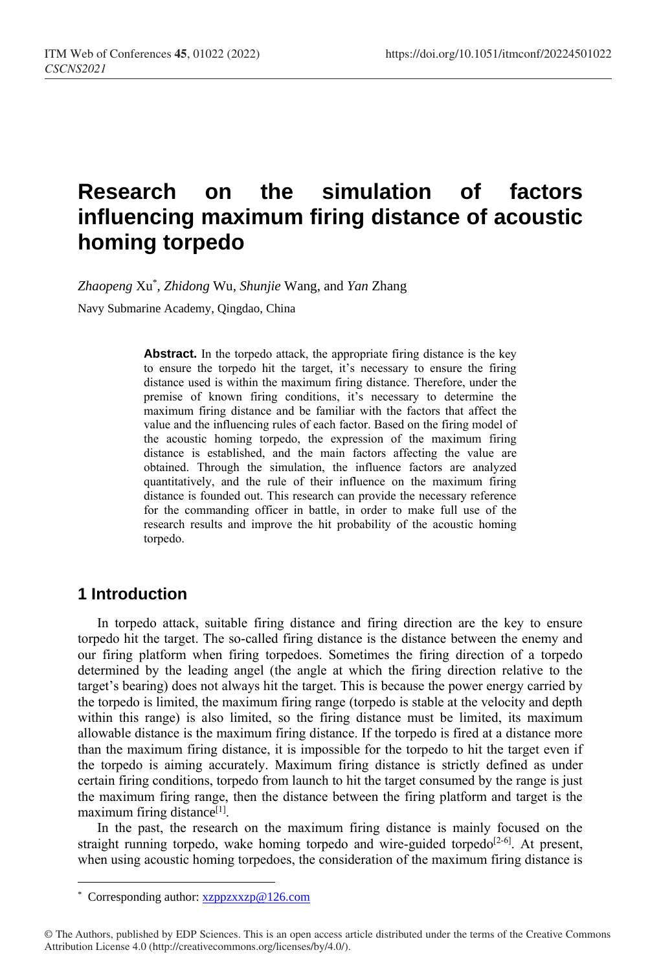# **Research on the simulation of factors influencing maximum firing distance of acoustic homing torpedo**

*Zhaopeng* Xu\* , *Zhidong* Wu, *Shunjie* Wang, and *Yan* Zhang

Navy Submarine Academy, Qingdao, China

Abstract. In the torpedo attack, the appropriate firing distance is the key to ensure the torpedo hit the target, it's necessary to ensure the firing distance used is within the maximum firing distance. Therefore, under the premise of known firing conditions, it's necessary to determine the maximum firing distance and be familiar with the factors that affect the value and the influencing rules of each factor. Based on the firing model of the acoustic homing torpedo, the expression of the maximum firing distance is established, and the main factors affecting the value are obtained. Through the simulation, the influence factors are analyzed quantitatively, and the rule of their influence on the maximum firing distance is founded out. This research can provide the necessary reference for the commanding officer in battle, in order to make full use of the research results and improve the hit probability of the acoustic homing torpedo.

#### **1 Introduction**

 $\overline{a}$ 

In torpedo attack, suitable firing distance and firing direction are the key to ensure torpedo hit the target. The so-called firing distance is the distance between the enemy and our firing platform when firing torpedoes. Sometimes the firing direction of a torpedo determined by the leading angel (the angle at which the firing direction relative to the target's bearing) does not always hit the target. This is because the power energy carried by the torpedo is limited, the maximum firing range (torpedo is stable at the velocity and depth within this range) is also limited, so the firing distance must be limited, its maximum allowable distance is the maximum firing distance. If the torpedo is fired at a distance more than the maximum firing distance, it is impossible for the torpedo to hit the target even if the torpedo is aiming accurately. Maximum firing distance is strictly defined as under certain firing conditions, torpedo from launch to hit the target consumed by the range is just the maximum firing range, then the distance between the firing platform and target is the maximum firing distance<sup>[1]</sup>.

In the past, the research on the maximum firing distance is mainly focused on the straight running torpedo, wake homing torpedo and wire-guided torpedo<sup>[2-6]</sup>. At present, when using acoustic homing torpedoes, the consideration of the maximum firing distance is

<sup>\*</sup> Corresponding author[: xzppzxxzp@126.com](mailto:xzppzxxzp@126.com)

<sup>©</sup> The Authors, published by EDP Sciences. This is an open access article distributed under the terms of the Creative Commons Attribution License 4.0 (http://creativecommons.org/licenses/by/4.0/).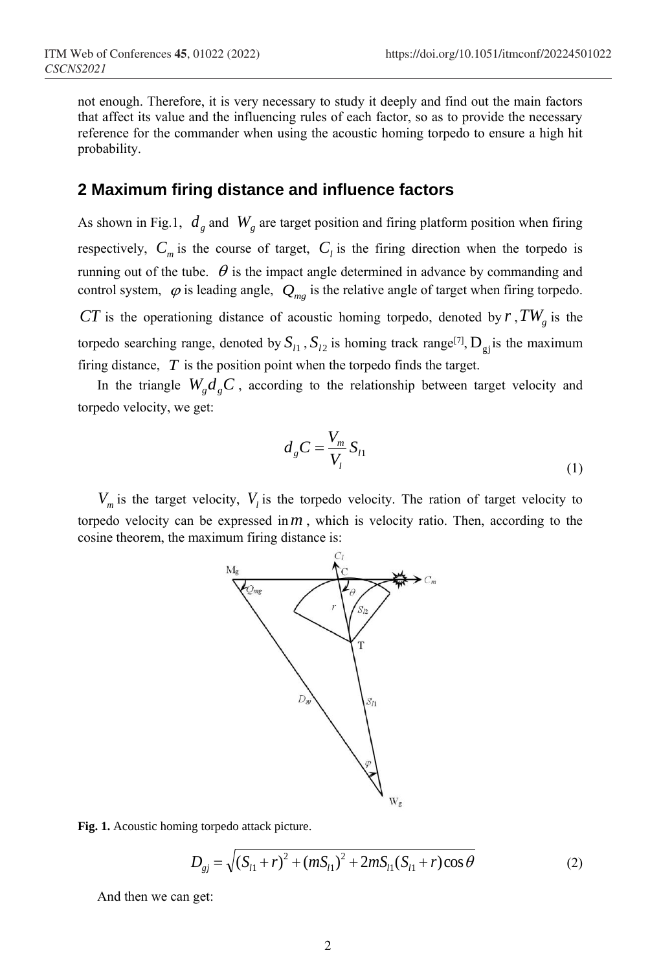not enough. Therefore, it is very necessary to study it deeply and find out the main factors that affect its value and the influencing rules of each factor, so as to provide the necessary reference for the commander when using the acoustic homing torpedo to ensure a high hit probability.

#### **2 Maximum firing distance and influence factors**

As shown in Fig.1,  $d_g$  and  $W_g$  are target position and firing platform position when firing respectively,  $C_m$  is the course of target,  $C_l$  is the firing direction when the torpedo is running out of the tube.  $\theta$  is the impact angle determined in advance by commanding and control system,  $\varphi$  is leading angle,  $Q_{mg}$  is the relative angle of target when firing torpedo.

*CT* is the operationing distance of acoustic homing torpedo, denoted by *r* ,*TW<sup>g</sup>* is the torpedo searching range, denoted by  $S_{l_1}$ ,  $S_{l_2}$  is homing track range<sup>[7]</sup>,  $D_{gj}$  is the maximum firing distance,  $T$  is the position point when the torpedo finds the target.

In the triangle  $W_g d_g C$ , according to the relationship between target velocity and torpedo velocity, we get:

$$
d_g C = \frac{V_m}{V_l} S_{l1}
$$
\n<sup>(1)</sup>

 $V_m$  is the target velocity,  $V_l$  is the torpedo velocity. The ration of target velocity to torpedo velocity can be expressed in  $m$ , which is velocity ratio. Then, according to the cosine theorem, the maximum firing distance is:



**Fig. 1.** Acoustic homing torpedo attack picture.

$$
D_{gj} = \sqrt{(S_{l1} + r)^2 + (mS_{l1})^2 + 2mS_{l1}(S_{l1} + r)\cos\theta}
$$
 (2)

And then we can get: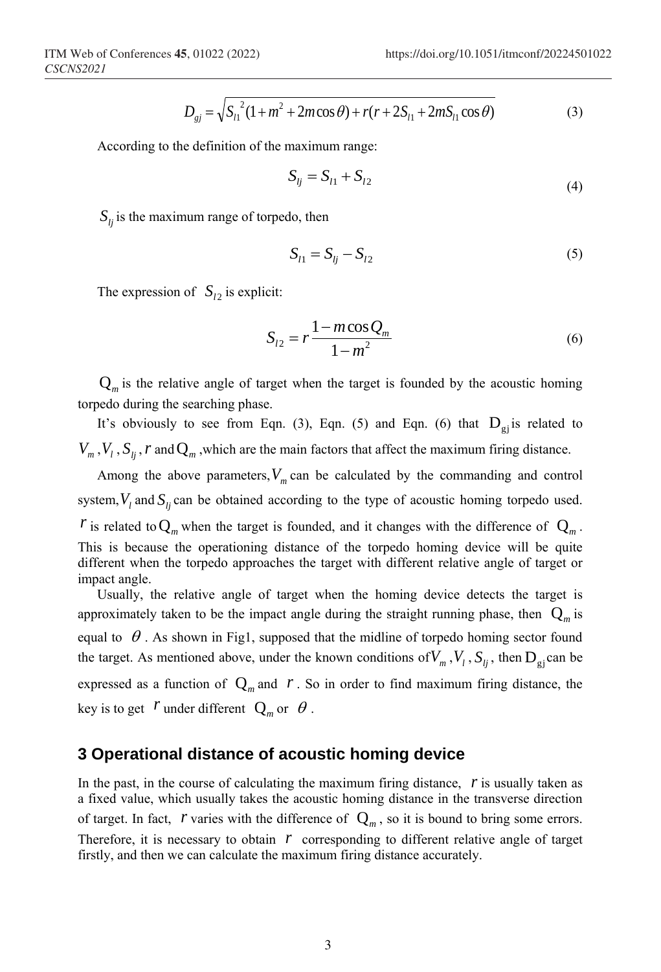$$
D_{gj} = \sqrt{S_{l1}^{2}(1 + m^{2} + 2m\cos\theta) + r(r + 2S_{l1} + 2mS_{l1}\cos\theta)}
$$
(3)

According to the definition of the maximum range:

$$
S_{lj} = S_{l1} + S_{l2} \tag{4}
$$

 $S_{ij}$  is the maximum range of torpedo, then

$$
S_{l1} = S_{lj} - S_{l2} \tag{5}
$$

The expression of  $S_{12}$  is explicit:

$$
S_{l2} = r \frac{1 - m \cos Q_m}{1 - m^2}
$$
 (6)

 $Q_m$  is the relative angle of target when the target is founded by the acoustic homing torpedo during the searching phase.

It's obviously to see from Eqn. (3), Eqn. (5) and Eqn. (6) that  $D_{gj}$  is related to  $V_m$ ,  $V_l$ ,  $S_{lj}$ ,  $r$  and  $Q_m$ , which are the main factors that affect the maximum firing distance.

Among the above parameters,  $V_m$  can be calculated by the commanding and control system,  $V_l$  and  $S_{lj}$  can be obtained according to the type of acoustic homing torpedo used. *r* is related to  $Q_m$  when the target is founded, and it changes with the difference of  $Q_m$ . This is because the operationing distance of the torpedo homing device will be quite different when the torpedo approaches the target with different relative angle of target or impact angle.

Usually, the relative angle of target when the homing device detects the target is approximately taken to be the impact angle during the straight running phase, then  $Q_m$  is equal to  $\theta$ . As shown in Fig1, supposed that the midline of torpedo homing sector found the target. As mentioned above, under the known conditions of  $V_m$ ,  $V_l$ ,  $S_{lj}$ , then  $D_{gi}$  can be expressed as a function of  $Q_m$  and  $r$ . So in order to find maximum firing distance, the key is to get  $r$  under different  $Q_m$  or  $\theta$ .

#### **3 Operational distance of acoustic homing device**

In the past, in the course of calculating the maximum firing distance,  $\dot{r}$  is usually taken as a fixed value, which usually takes the acoustic homing distance in the transverse direction of target. In fact,  $r$  varies with the difference of  $Q_m$ , so it is bound to bring some errors. Therefore, it is necessary to obtain  $r$  corresponding to different relative angle of target firstly, and then we can calculate the maximum firing distance accurately.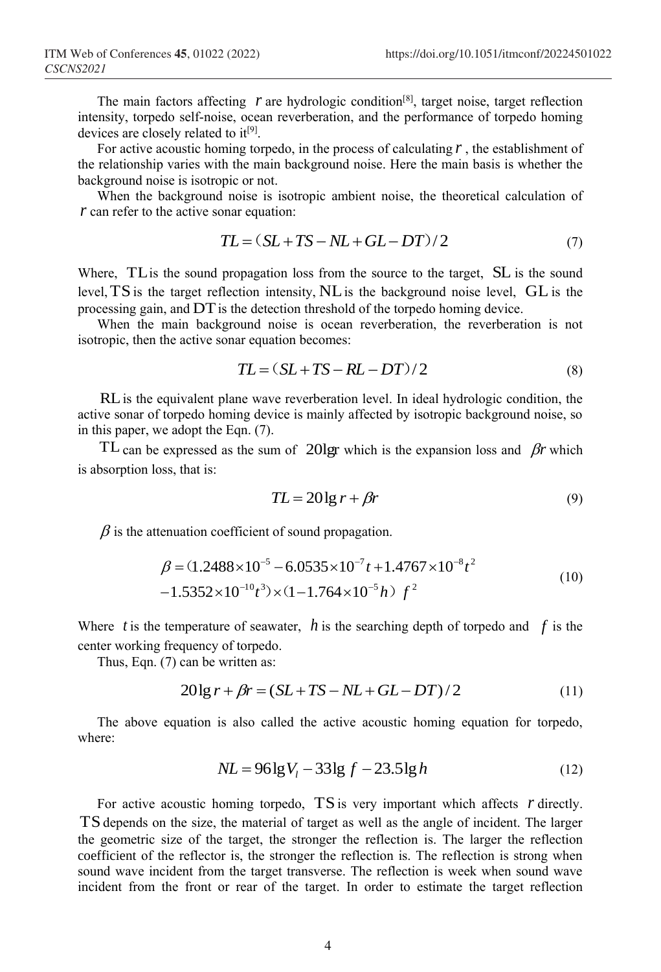The main factors affecting  $r$  are hydrologic condition<sup>[8]</sup>, target noise, target reflection intensity, torpedo self-noise, ocean reverberation, and the performance of torpedo homing devices are closely related to it<sup>[9]</sup>.

For active acoustic homing torpedo, in the process of calculating  $r$ , the establishment of the relationship varies with the main background noise. Here the main basis is whether the background noise is isotropic or not.

When the background noise is isotropic ambient noise, the theoretical calculation of *r* can refer to the active sonar equation:

$$
TL = (SL + TS - NL + GL - DT)/2 \tag{7}
$$

Where, TL is the sound propagation loss from the source to the target, SL is the sound level, TS is the target reflection intensity, NL is the background noise level, GL is the processing gain, and DT is the detection threshold of the torpedo homing device.

When the main background noise is ocean reverberation, the reverberation is not isotropic, then the active sonar equation becomes:

$$
TL = (SL + TS - RL - DT)/2 \tag{8}
$$

RL is the equivalent plane wave reverberation level. In ideal hydrologic condition, the active sonar of torpedo homing device is mainly affected by isotropic background noise, so in this paper, we adopt the Eqn. (7).

TL can be expressed as the sum of 201gr which is the expansion loss and  $\beta r$  which is absorption loss, that is:

$$
TL = 20 \lg r + \beta r \tag{9}
$$

 $\beta$  is the attenuation coefficient of sound propagation.

$$
\beta = (1.2488 \times 10^{-5} - 6.0535 \times 10^{-7} t + 1.4767 \times 10^{-8} t^2 - 1.5352 \times 10^{-10} t^3) \times (1 - 1.764 \times 10^{-5} h) f^2
$$
\n(10)

Where  $t$  is the temperature of seawater,  $h$  is the searching depth of torpedo and  $f$  is the center working frequency of torpedo.

Thus, Eqn. (7) can be written as:

$$
20\lg r + \beta r = (SL + TS - NL + GL - DT)/2\tag{11}
$$

The above equation is also called the active acoustic homing equation for torpedo, where:

$$
NL = 96 \lg V_l - 33 \lg f - 23.5 \lg h \tag{12}
$$

For active acoustic homing torpedo, TS is very important which affects r directly. TS depends on the size, the material of target as well as the angle of incident. The larger the geometric size of the target, the stronger the reflection is. The larger the reflection coefficient of the reflector is, the stronger the reflection is. The reflection is strong when sound wave incident from the target transverse. The reflection is week when sound wave incident from the front or rear of the target. In order to estimate the target reflection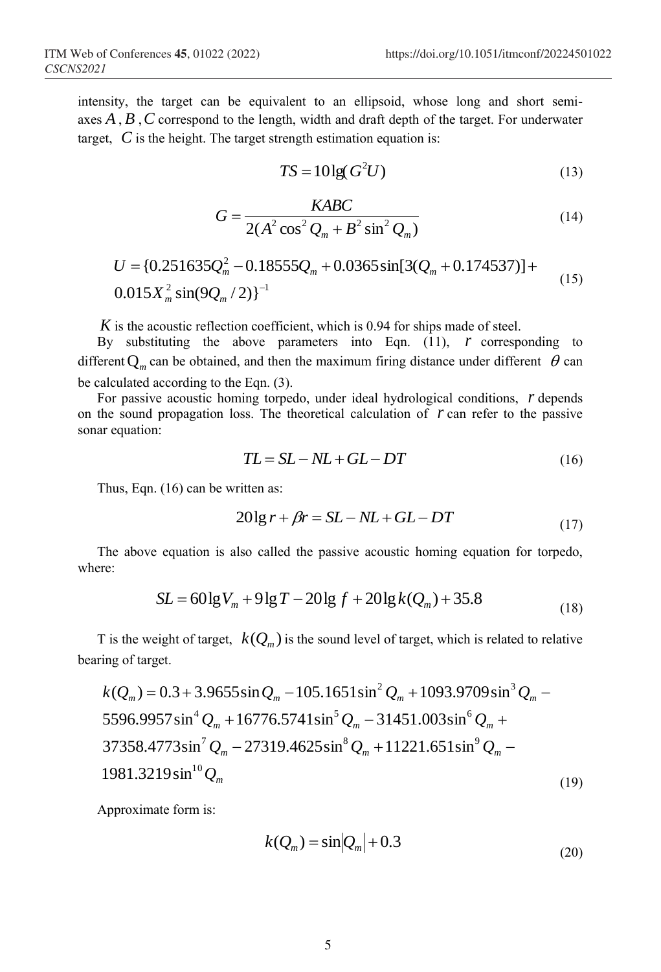intensity, the target can be equivalent to an ellipsoid, whose long and short semiaxes *A* , *B* ,*C* correspond to the length, width and draft depth of the target. For underwater target, *C* is the height. The target strength estimation equation is:

$$
TS = 10\lg(G^2U) \tag{13}
$$

$$
G = \frac{KABC}{2(A^2\cos^2 Q_m + B^2\sin^2 Q_m)}
$$
(14)

$$
U = \{0.251635Q_m^2 - 0.18555Q_m + 0.0365\sin[3(Q_m + 0.174537)] + 0.015X_m^2\sin(9Q_m/2)\}^{-1}
$$
\n(15)

*K* is the acoustic reflection coefficient, which is 0.94 for ships made of steel.

By substituting the above parameters into Eqn.  $(11)$ ,  *corresponding to* different  $Q_m$  can be obtained, and then the maximum firing distance under different  $\theta$  can be calculated according to the Eqn. (3).

For passive acoustic homing torpedo, under ideal hydrological conditions, *r* depends on the sound propagation loss. The theoretical calculation of *r* can refer to the passive sonar equation:

$$
TL = SL - NL + GL - DT \tag{16}
$$

Thus, Eqn. (16) can be written as:

$$
20\lg r + \beta r = SL - NL + GL - DT\tag{17}
$$

The above equation is also called the passive acoustic homing equation for torpedo, where:

$$
SL = 60 \lg V_m + 9 \lg T - 20 \lg f + 20 \lg k(Q_m) + 35.8
$$
\n(18)

T is the weight of target,  $k(Q_m)$  is the sound level of target, which is related to relative bearing of target.

$$
k(Q_m) = 0.3 + 3.9655 \sin Q_m - 105.1651 \sin^2 Q_m + 1093.9709 \sin^3 Q_m - 5596.9957 \sin^4 Q_m + 16776.5741 \sin^5 Q_m - 31451.003 \sin^6 Q_m + 37358.4773 \sin^7 Q_m - 27319.4625 \sin^8 Q_m + 11221.651 \sin^9 Q_m - 1981.3219 \sin^{10} Q_m
$$
\n(19)

Approximate form is:

$$
k(Q_m) = \sin|Q_m| + 0.3\tag{20}
$$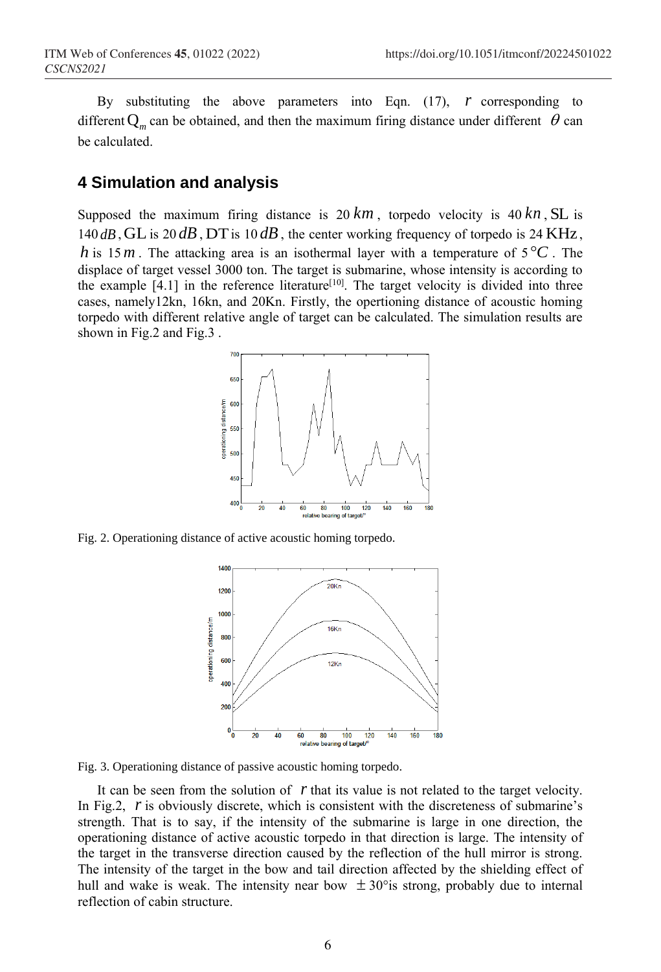By substituting the above parameters into Eqn.  $(17)$ ,  *corresponding to* different  $Q_m$  can be obtained, and then the maximum firing distance under different  $\theta$  can be calculated.

#### **4 Simulation and analysis**

Supposed the maximum firing distance is  $20 km$ , torpedo velocity is  $40 km$ , SL is 140 $dB$ , GL is 20 $dB$ , DT is 10 $dB$ , the center working frequency of torpedo is 24 KHz, *h* is 15*m*. The attacking area is an isothermal layer with a temperature of  $5^{\circ}C$ . The displace of target vessel 3000 ton. The target is submarine, whose intensity is according to the example  $[4.1]$  in the reference literature<sup>[10]</sup>. The target velocity is divided into three cases, namely12kn, 16kn, and 20Kn. Firstly, the opertioning distance of acoustic homing torpedo with different relative angle of target can be calculated. The simulation results are shown in Fig.2 and Fig.3 .



Fig. 2. Operationing distance of active acoustic homing torpedo.



Fig. 3. Operationing distance of passive acoustic homing torpedo.

It can be seen from the solution of r that its value is not related to the target velocity. In Fig.2, r is obviously discrete, which is consistent with the discreteness of submarine's strength. That is to say, if the intensity of the submarine is large in one direction, the operationing distance of active acoustic torpedo in that direction is large. The intensity of the target in the transverse direction caused by the reflection of the hull mirror is strong. The intensity of the target in the bow and tail direction affected by the shielding effect of hull and wake is weak. The intensity near bow  $\pm 30^{\circ}$  is strong, probably due to internal reflection of cabin structure.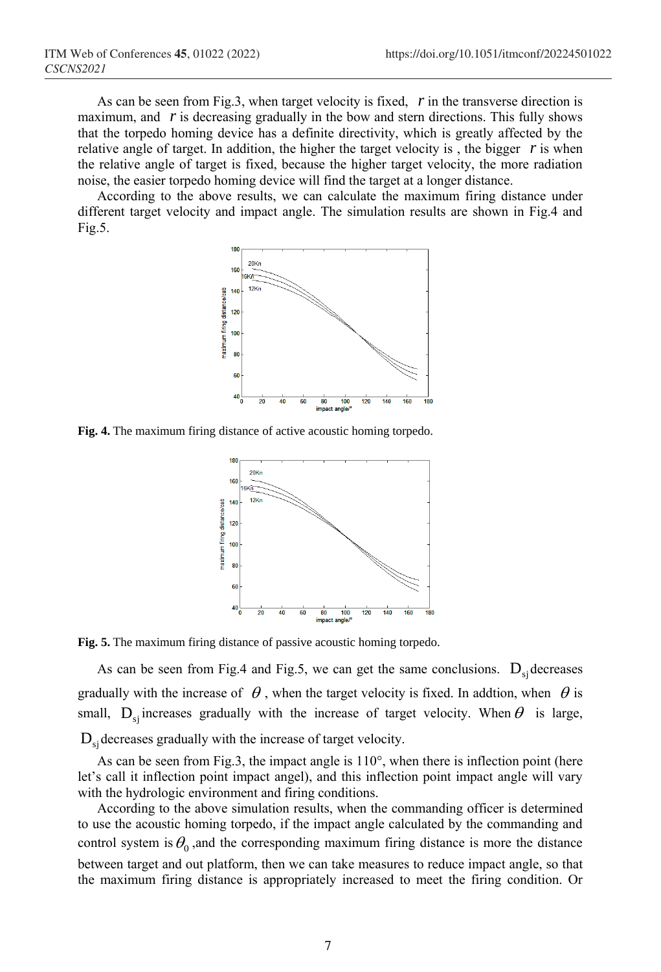As can be seen from Fig.3, when target velocity is fixed, *r* in the transverse direction is maximum, and  $r$  is decreasing gradually in the bow and stern directions. This fully shows that the torpedo homing device has a definite directivity, which is greatly affected by the relative angle of target. In addition, the higher the target velocity is, the bigger  $r$  is when the relative angle of target is fixed, because the higher target velocity, the more radiation noise, the easier torpedo homing device will find the target at a longer distance.

According to the above results, we can calculate the maximum firing distance under different target velocity and impact angle. The simulation results are shown in Fig.4 and Fig.5.



**Fig. 4.** The maximum firing distance of active acoustic homing torpedo.



**Fig. 5.** The maximum firing distance of passive acoustic homing torpedo.

As can be seen from Fig.4 and Fig.5, we can get the same conclusions.  $D_{si}$  decreases gradually with the increase of  $\theta$ , when the target velocity is fixed. In addtion, when  $\theta$  is small,  $D_{sj}$  increases gradually with the increase of target velocity. When  $\theta$  is large,  $D_{\rm sj}$  decreases gradually with the increase of target velocity.

As can be seen from Fig.3, the impact angle is 110°, when there is inflection point (here let's call it inflection point impact angel), and this inflection point impact angle will vary with the hydrologic environment and firing conditions.

According to the above simulation results, when the commanding officer is determined to use the acoustic homing torpedo, if the impact angle calculated by the commanding and control system is  $\theta_0$ , and the corresponding maximum firing distance is more the distance between target and out platform, then we can take measures to reduce impact angle, so that the maximum firing distance is appropriately increased to meet the firing condition. Or